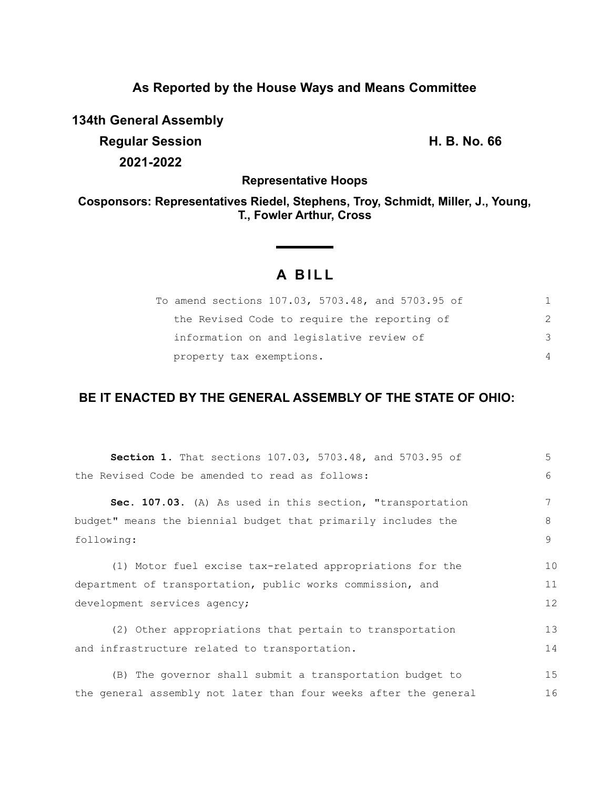## **As Reported by the House Ways and Means Committee**

**134th General Assembly Regular Session H. B. No. 66 2021-2022**

**Representative Hoops**

**Cosponsors: Representatives Riedel, Stephens, Troy, Schmidt, Miller, J., Young, T., Fowler Arthur, Cross**

# **A B I L L**

| To amend sections 107.03, 5703.48, and 5703.95 of |                |
|---------------------------------------------------|----------------|
| the Revised Code to require the reporting of      | $\mathcal{L}$  |
| information on and legislative review of          | 3              |
| property tax exemptions.                          | $\overline{4}$ |

### **BE IT ENACTED BY THE GENERAL ASSEMBLY OF THE STATE OF OHIO:**

| Section 1. That sections 107.03, 5703.48, and 5703.95 of         | 5  |
|------------------------------------------------------------------|----|
| the Revised Code be amended to read as follows:                  | 6  |
| Sec. 107.03. (A) As used in this section, "transportation        | 7  |
| budget" means the biennial budget that primarily includes the    | 8  |
| following:                                                       | 9  |
| (1) Motor fuel excise tax-related appropriations for the         | 10 |
| department of transportation, public works commission, and       | 11 |
| development services agency;                                     | 12 |
| (2) Other appropriations that pertain to transportation          | 13 |
| and infrastructure related to transportation.                    | 14 |
| (B) The governor shall submit a transportation budget to         | 15 |
| the general assembly not later than four weeks after the general | 16 |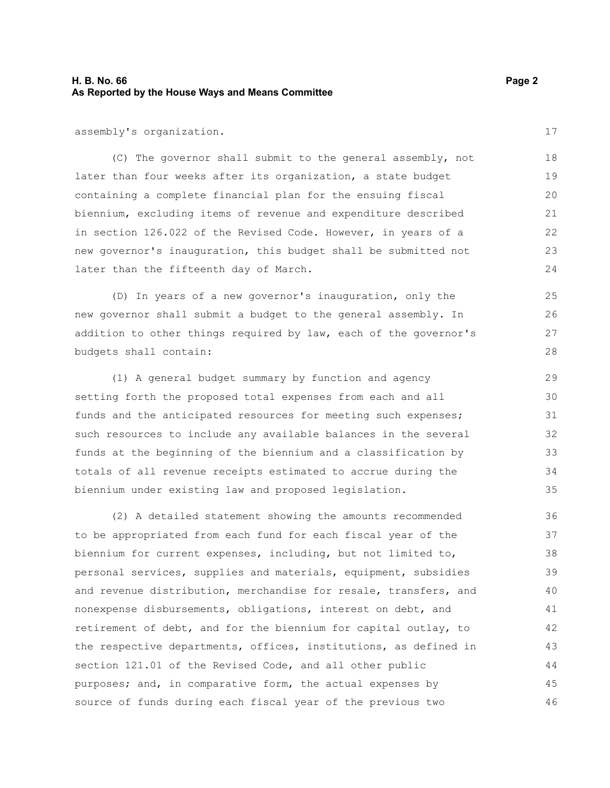#### **H. B. No. 66 Page 2 As Reported by the House Ways and Means Committee**

assembly's organization.

(C) The governor shall submit to the general assembly, not later than four weeks after its organization, a state budget containing a complete financial plan for the ensuing fiscal biennium, excluding items of revenue and expenditure described in section 126.022 of the Revised Code. However, in years of a new governor's inauguration, this budget shall be submitted not later than the fifteenth day of March.

(D) In years of a new governor's inauguration, only the new governor shall submit a budget to the general assembly. In addition to other things required by law, each of the governor's budgets shall contain:

(1) A general budget summary by function and agency setting forth the proposed total expenses from each and all funds and the anticipated resources for meeting such expenses; such resources to include any available balances in the several funds at the beginning of the biennium and a classification by totals of all revenue receipts estimated to accrue during the biennium under existing law and proposed legislation.

(2) A detailed statement showing the amounts recommended to be appropriated from each fund for each fiscal year of the biennium for current expenses, including, but not limited to, personal services, supplies and materials, equipment, subsidies and revenue distribution, merchandise for resale, transfers, and nonexpense disbursements, obligations, interest on debt, and retirement of debt, and for the biennium for capital outlay, to the respective departments, offices, institutions, as defined in section 121.01 of the Revised Code, and all other public purposes; and, in comparative form, the actual expenses by source of funds during each fiscal year of the previous two 36 37 38 39 40 41 42 43 44 45 46

17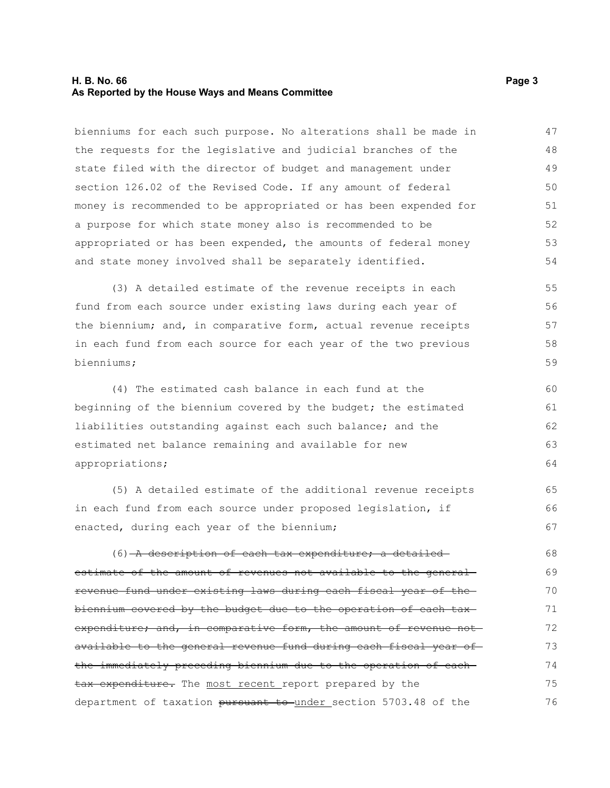#### **H. B. No. 66 Page 3 As Reported by the House Ways and Means Committee**

bienniums for each such purpose. No alterations shall be made in the requests for the legislative and judicial branches of the state filed with the director of budget and management under section 126.02 of the Revised Code. If any amount of federal money is recommended to be appropriated or has been expended for a purpose for which state money also is recommended to be appropriated or has been expended, the amounts of federal money and state money involved shall be separately identified. 47 48 49 50 51 52 53 54

(3) A detailed estimate of the revenue receipts in each fund from each source under existing laws during each year of the biennium; and, in comparative form, actual revenue receipts in each fund from each source for each year of the two previous bienniums;

(4) The estimated cash balance in each fund at the beginning of the biennium covered by the budget; the estimated liabilities outstanding against each such balance; and the estimated net balance remaining and available for new appropriations;

(5) A detailed estimate of the additional revenue receipts in each fund from each source under proposed legislation, if enacted, during each year of the biennium;

(6) A description of each tax expenditure; a detailedestimate of the amount of revenues not available to the generalrevenue fund under existing laws during each fiscal year of the biennium covered by the budget due to the operation of each tax expenditure; and, in comparative form, the amount of revenue not available to the general revenue fund during each fiscal year of the immediately preceding biennium due to the operation of each tax expenditure. The most recent report prepared by the department of taxation pursuant to under section 5703.48 of the 68 69 70 71 72 73 74 75 76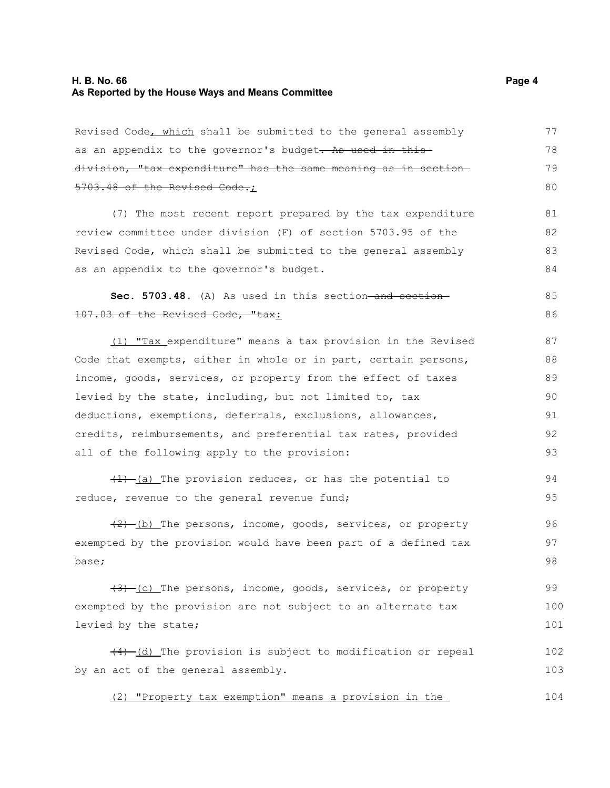#### **H. B. No. 66 Page 4 As Reported by the House Ways and Means Committee**

| Revised Code, which shall be submitted to the general assembly       | 77  |
|----------------------------------------------------------------------|-----|
| as an appendix to the governor's budget <del>. As used in this</del> | 78  |
| division, "tax expenditure" has the same meaning as in section-      | 79  |
| 5703.48 of the Revised Code.;                                        | 80  |
| (7) The most recent report prepared by the tax expenditure           | 81  |
| review committee under division (F) of section 5703.95 of the        | 82  |
| Revised Code, which shall be submitted to the general assembly       | 83  |
| as an appendix to the governor's budget.                             | 84  |
| Sec. 5703.48. (A) As used in this section-and section-               | 85  |
| 107.03 of the Revised Code, "tax:                                    | 86  |
| (1) "Tax expenditure" means a tax provision in the Revised           | 87  |
| Code that exempts, either in whole or in part, certain persons,      | 88  |
| income, goods, services, or property from the effect of taxes        | 89  |
| levied by the state, including, but not limited to, tax              | 90  |
| deductions, exemptions, deferrals, exclusions, allowances,           | 91  |
| credits, reimbursements, and preferential tax rates, provided        | 92  |
| all of the following apply to the provision:                         | 93  |
| $(1)$ (a) The provision reduces, or has the potential to             | 94  |
| reduce, revenue to the general revenue fund;                         | 95  |
| $(2)$ (b) The persons, income, goods, services, or property          | 96  |
| exempted by the provision would have been part of a defined tax      | 97  |
| base;                                                                | 98  |
| $(3)$ (c) The persons, income, goods, services, or property          | 99  |
| exempted by the provision are not subject to an alternate tax        | 100 |
| levied by the state;                                                 | 101 |
| $(4)$ $(d)$ The provision is subject to modification or repeal       | 102 |
| by an act of the general assembly.                                   | 103 |
| (2) "Property tax exemption" means a provision in the                | 104 |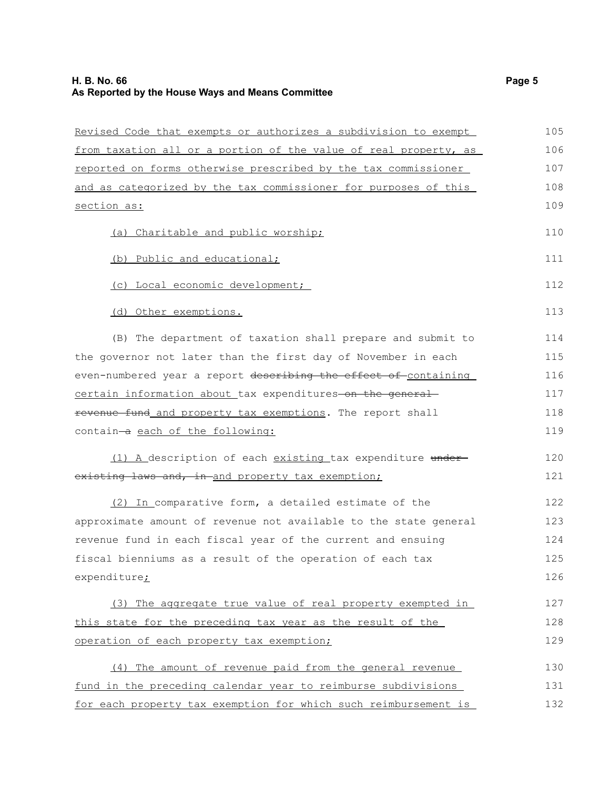### **H. B. No. 66 Page 5 As Reported by the House Ways and Means Committee**

| Revised Code that exempts or authorizes a subdivision to exempt  | 105 |
|------------------------------------------------------------------|-----|
| from taxation all or a portion of the value of real property, as | 106 |
| reported on forms otherwise prescribed by the tax commissioner   | 107 |
| and as categorized by the tax commissioner for purposes of this  | 108 |
| <u>section as:</u>                                               | 109 |
| (a) Charitable and public worship;                               | 110 |
| (b) Public and educational;                                      | 111 |
| (c) Local economic development;                                  | 112 |
| (d) Other exemptions.                                            | 113 |
| (B) The department of taxation shall prepare and submit to       | 114 |
| the governor not later than the first day of November in each    | 115 |
| even-numbered year a report describing the effect of containing  | 116 |
| certain information about tax expenditures-on the general        | 117 |
| revenue fund_and property tax exemptions. The report shall       | 118 |
| contain-a each of the following:                                 | 119 |
| (1) A description of each existing tax expenditure under-        | 120 |
| existing laws and, in and property tax exemption;                | 121 |
| (2) In comparative form, a detailed estimate of the              | 122 |
| approximate amount of revenue not available to the state general | 123 |
| revenue fund in each fiscal year of the current and ensuing      | 124 |
| fiscal bienniums as a result of the operation of each tax        | 125 |
| expenditure <u>;</u>                                             | 126 |
| (3) The aggregate true value of real property exempted in        | 127 |
| this state for the preceding tax year as the result of the       | 128 |
| operation of each property tax exemption;                        | 129 |
| (4) The amount of revenue paid from the general revenue          | 130 |
| fund in the preceding calendar year to reimburse subdivisions    | 131 |
| for each property tax exemption for which such reimbursement is  | 132 |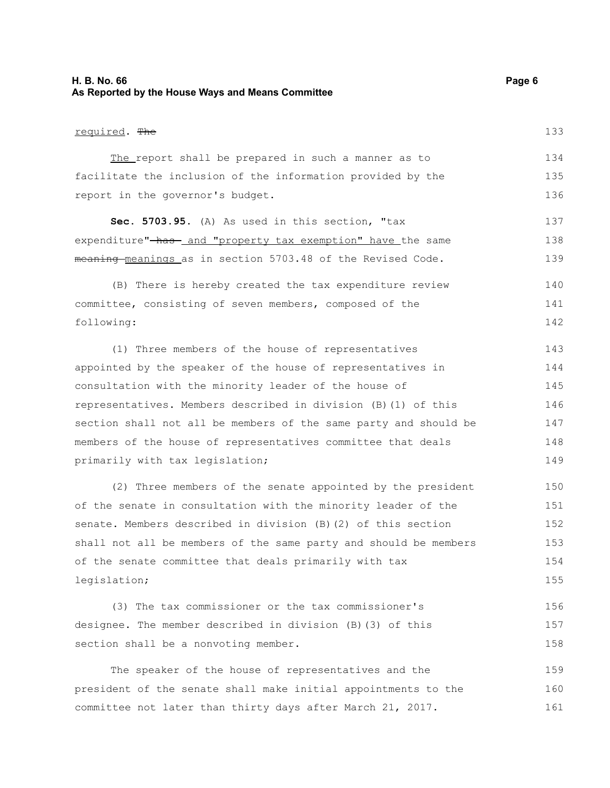#### **H. B. No. 66 Page 6 As Reported by the House Ways and Means Committee**

| required. The                                                            |
|--------------------------------------------------------------------------|
| The report shall be prepared in such a manner as to                      |
| facilitate the inclusion of the information provided by the              |
| report in the governor's budget.                                         |
| Sec. 5703.95. (A) As used in this section, "tax                          |
|                                                                          |
| expenditure" <del>-has</del> -and "property tax exemption" have the same |
| meaning meanings as in section 5703.48 of the Revised Code.              |

committee, consisting of seven members, composed of the following: (1) Three members of the house of representatives 141 142 143

appointed by the speaker of the house of representatives in consultation with the minority leader of the house of representatives. Members described in division (B)(1) of this section shall not all be members of the same party and should be members of the house of representatives committee that deals primarily with tax legislation; 144 145 146 147 148 149

(2) Three members of the senate appointed by the president of the senate in consultation with the minority leader of the senate. Members described in division (B)(2) of this section shall not all be members of the same party and should be members of the senate committee that deals primarily with tax legislation; 150 151 152 153 154 155

(3) The tax commissioner or the tax commissioner's designee. The member described in division (B)(3) of this section shall be a nonvoting member. 156 157 158

The speaker of the house of representatives and the president of the senate shall make initial appointments to the committee not later than thirty days after March 21, 2017. 159 160 161

133

134 135 136

137 138 139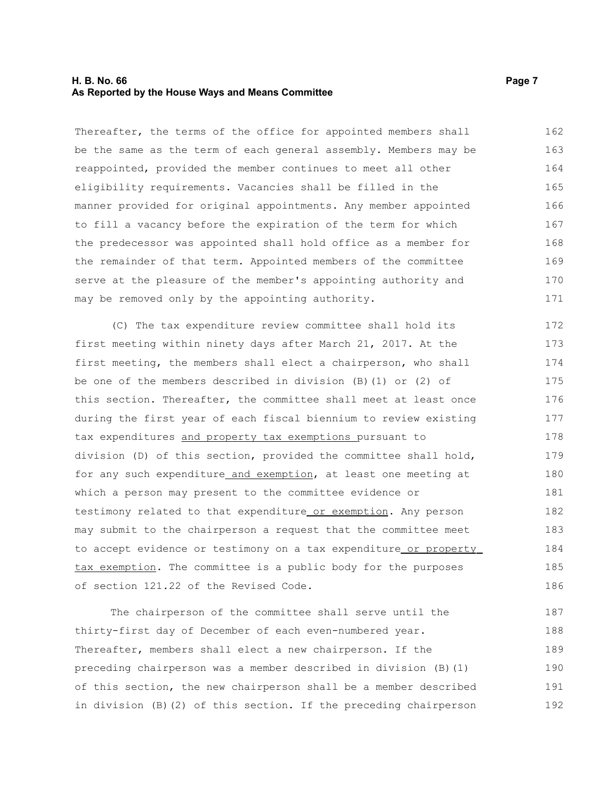#### **H. B. No. 66 Page 7 As Reported by the House Ways and Means Committee**

Thereafter, the terms of the office for appointed members shall be the same as the term of each general assembly. Members may be reappointed, provided the member continues to meet all other eligibility requirements. Vacancies shall be filled in the manner provided for original appointments. Any member appointed to fill a vacancy before the expiration of the term for which the predecessor was appointed shall hold office as a member for the remainder of that term. Appointed members of the committee serve at the pleasure of the member's appointing authority and may be removed only by the appointing authority. 162 163 164 165 166 167 168 169 170 171

(C) The tax expenditure review committee shall hold its first meeting within ninety days after March 21, 2017. At the first meeting, the members shall elect a chairperson, who shall be one of the members described in division (B)(1) or (2) of this section. Thereafter, the committee shall meet at least once during the first year of each fiscal biennium to review existing tax expenditures and property tax exemptions pursuant to division (D) of this section, provided the committee shall hold, for any such expenditure and exemption, at least one meeting at which a person may present to the committee evidence or testimony related to that expenditure or exemption. Any person may submit to the chairperson a request that the committee meet to accept evidence or testimony on a tax expenditure or property tax exemption. The committee is a public body for the purposes of section 121.22 of the Revised Code. 172 173 174 175 176 177 178 179 180 181 182 183 184 185 186

The chairperson of the committee shall serve until the thirty-first day of December of each even-numbered year. Thereafter, members shall elect a new chairperson. If the preceding chairperson was a member described in division (B)(1) of this section, the new chairperson shall be a member described in division (B)(2) of this section. If the preceding chairperson 187 188 189 190 191 192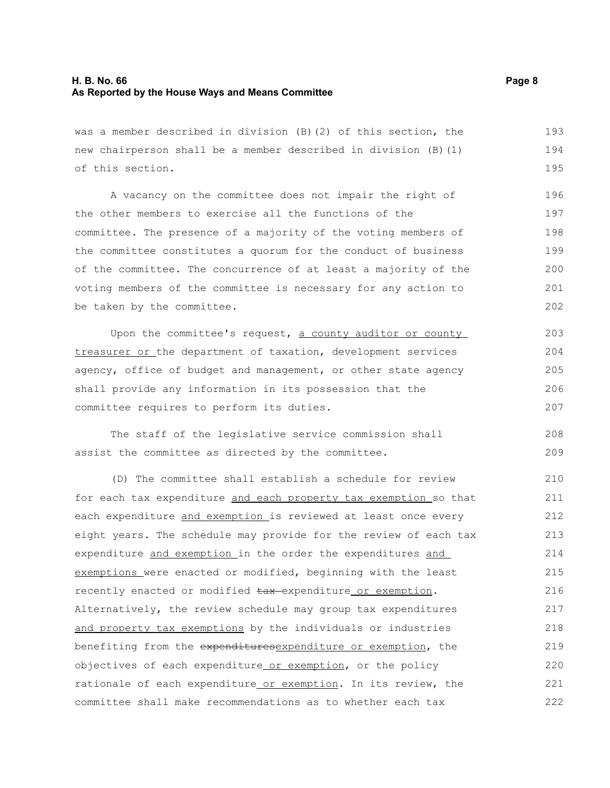#### **H. B. No. 66 Page 8 As Reported by the House Ways and Means Committee**

was a member described in division (B)(2) of this section, the new chairperson shall be a member described in division (B)(1) of this section. 193 194 195

A vacancy on the committee does not impair the right of the other members to exercise all the functions of the committee. The presence of a majority of the voting members of the committee constitutes a quorum for the conduct of business of the committee. The concurrence of at least a majority of the voting members of the committee is necessary for any action to be taken by the committee.

Upon the committee's request, a county auditor or county treasurer or the department of taxation, development services agency, office of budget and management, or other state agency shall provide any information in its possession that the committee requires to perform its duties.

The staff of the legislative service commission shall assist the committee as directed by the committee. 208 209

(D) The committee shall establish a schedule for review for each tax expenditure and each property tax exemption so that each expenditure and exemption is reviewed at least once every eight years. The schedule may provide for the review of each tax expenditure and exemption in the order the expenditures and exemptions were enacted or modified, beginning with the least recently enacted or modified tax-expenditure or exemption. Alternatively, the review schedule may group tax expenditures and property tax exemptions by the individuals or industries benefiting from the expendituresexpenditure or exemption, the objectives of each expenditure or exemption, or the policy rationale of each expenditure or exemption. In its review, the committee shall make recommendations as to whether each tax 210 211 212 213 214 215 216 217 218 219 220 221 222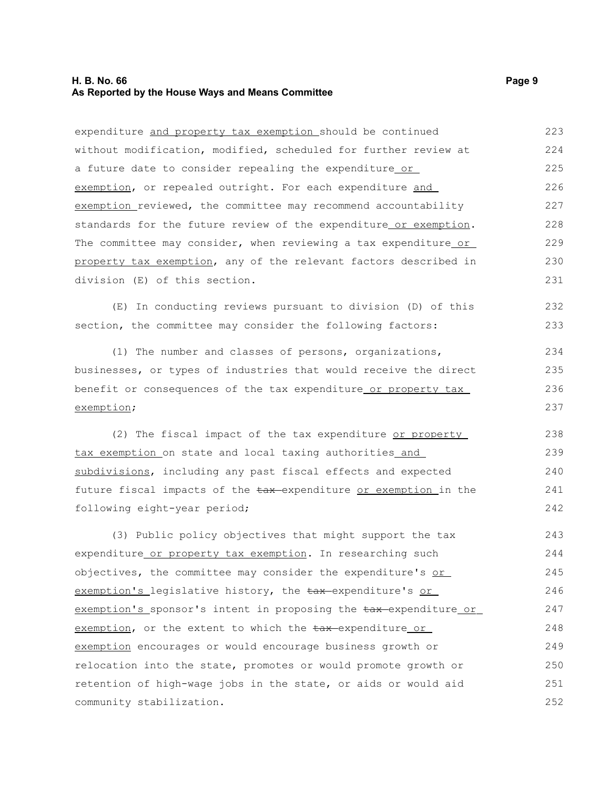#### **H. B. No. 66 Page 9 As Reported by the House Ways and Means Committee**

expenditure and property tax exemption should be continued without modification, modified, scheduled for further review at a future date to consider repealing the expenditure or exemption, or repealed outright. For each expenditure and exemption reviewed, the committee may recommend accountability standards for the future review of the expenditure or exemption. The committee may consider, when reviewing a tax expenditure or property tax exemption, any of the relevant factors described in division (E) of this section. 223 224 225 226 227 228 229 230 231

(E) In conducting reviews pursuant to division (D) of this section, the committee may consider the following factors: 232

(1) The number and classes of persons, organizations, businesses, or types of industries that would receive the direct benefit or consequences of the tax expenditure or property tax exemption;

(2) The fiscal impact of the tax expenditure or property tax exemption on state and local taxing authorities and subdivisions, including any past fiscal effects and expected future fiscal impacts of the tax-expenditure or exemption in the following eight-year period; 238 239 240 241 242

(3) Public policy objectives that might support the tax expenditure or property tax exemption. In researching such objectives, the committee may consider the expenditure's or exemption's legislative history, the tax-expenditure's or exemption's sponsor's intent in proposing the tax expenditure or exemption, or the extent to which the  $\frac{1}{2}$  tax-expenditure or exemption encourages or would encourage business growth or relocation into the state, promotes or would promote growth or retention of high-wage jobs in the state, or aids or would aid community stabilization. 243 244 245 246 247 248 249 250 251 252

233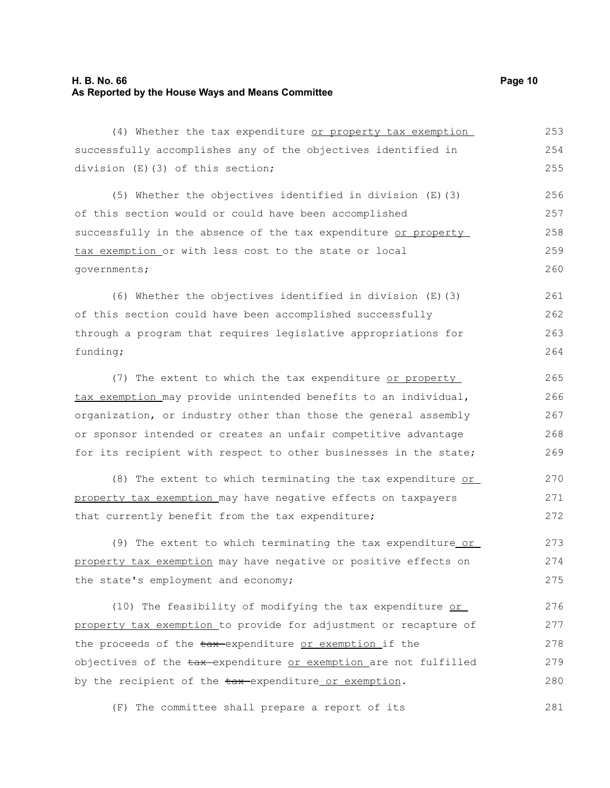#### **H. B. No. 66 Page 10 As Reported by the House Ways and Means Committee**

(4) Whether the tax expenditure or property tax exemption successfully accomplishes any of the objectives identified in division (E)(3) of this section; (5) Whether the objectives identified in division (E)(3) of this section would or could have been accomplished successfully in the absence of the tax expenditure or property tax exemption or with less cost to the state or local governments; (6) Whether the objectives identified in division (E)(3) of this section could have been accomplished successfully through a program that requires legislative appropriations for funding; (7) The extent to which the tax expenditure or property tax exemption may provide unintended benefits to an individual, organization, or industry other than those the general assembly or sponsor intended or creates an unfair competitive advantage for its recipient with respect to other businesses in the state; (8) The extent to which terminating the tax expenditure or property tax exemption may have negative effects on taxpayers that currently benefit from the tax expenditure; (9) The extent to which terminating the tax expenditure or property tax exemption may have negative or positive effects on the state's employment and economy; 253 254 255 256 257 258 259 260 261 262 263 264 265 266 267 268 269 270 271 272 273 274 275

(10) The feasibility of modifying the tax expenditure or property tax exemption to provide for adjustment or recapture of the proceeds of the tax-expenditure or exemption if the objectives of the tax expenditure or exemption are not fulfilled by the recipient of the  $\frac{1}{2}$  expenditure or exemption. 276 277 278 279 280

(F) The committee shall prepare a report of its